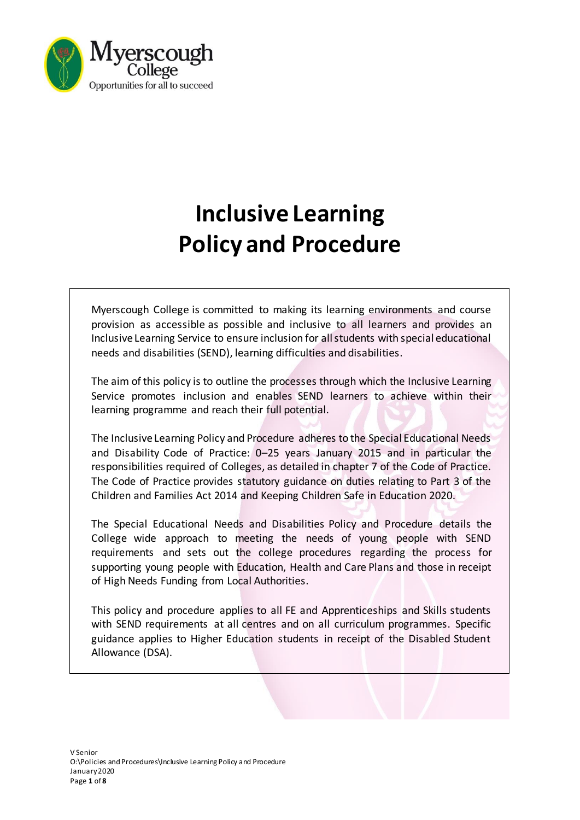

# **Inclusive Learning Policy and Procedure**

Myerscough College is committed to making its learning environments and course provision as accessible as possible and inclusive to all learners and provides an Inclusive Learning Service to ensure inclusion for all students with special educational needs and disabilities (SEND), learning difficulties and disabilities.

The aim of this policy is to outline the processes through which the Inclusive Learning Service promotes inclusion and enables SEND learners to achieve within their learning programme and reach their full potential.

The Inclusive Learning Policy and Procedure adheres to the Special Educational Needs and Disability Code of Practice: 0–25 years January 2015 and in particular the responsibilities required of Colleges, as detailed in chapter 7 of the Code of Practice. The Code of Practice provides statutory guidance on duties relating to Part 3 of the Children and Families Act 2014 and Keeping Children Safe in Education 2020.

The Special Educational Needs and Disabilities Policy and Procedure details the College wide approach to meeting the needs of young people with SEND requirements and sets out the college procedures regarding the process for supporting young people with Education, Health and Care Plans and those in receipt of High Needs Funding from Local Authorities.

This policy and procedure applies to all FE and Apprenticeships and Skills students with SEND requirements at all centres and on all curriculum programmes. Specific guidance applies to Higher Education students in receipt of the Disabled Student Allowance (DSA).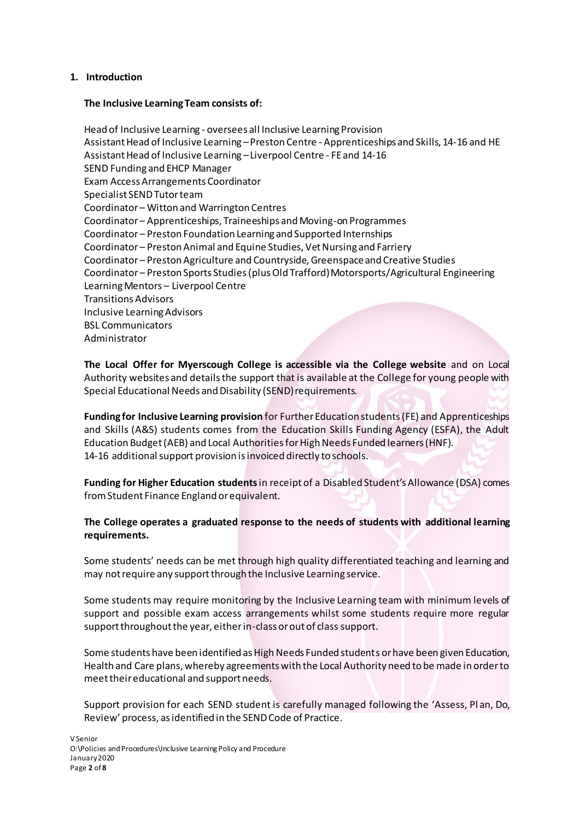# **1. Introduction**

#### **The Inclusive Learning Team consists of:**

Head of Inclusive Learning - oversees all Inclusive Learning Provision Assistant Head of Inclusive Learning –Preston Centre - Apprenticeships and Skills, 14-16 and HE Assistant Head of Inclusive Learning –Liverpool Centre - FE and 14-16 SEND Funding and EHCP Manager Exam Access Arrangements Coordinator Specialist SEND Tutor team Coordinator – Witton and Warrington Centres Coordinator – Apprenticeships, Traineeships and Moving-on Programmes Coordinator – Preston Foundation Learning and Supported Internships Coordinator – Preston Animal and Equine Studies, Vet Nursing and Farriery Coordinator – Preston Agriculture and Countryside, Greenspace and Creative Studies Coordinator – Preston Sports Studies (plus Old Trafford) Motorsports/Agricultural Engineering Learning Mentors – Liverpool Centre Transitions Advisors Inclusive Learning Advisors BSL Communicators Administrator

**The Local Offer for Myerscough College is accessible via the College website** and on Local Authority websites and details the support that is available at the College for young people with Special Educational Needs and Disability (SEND) requirements.

**Funding for Inclusive Learning provision** for Further Education students (FE) and Apprenticeships and Skills (A&S) students comes from the Education Skills Funding Agency (ESFA), the Adult Education Budget (AEB) and Local Authorities for High Needs Funded learners (HNF). 14-16 additional support provision is invoiced directly to schools.

**Funding for Higher Education students** in receipt of a Disabled Student's Allowance (DSA) comes from Student Finance England or equivalent.

**The College operates a graduated response to the needs of students with additional learning requirements.**

Some students' needs can be met through high quality differentiated teaching and learning and may not require any support through the Inclusive Learning service.

Some students may require monitoring by the Inclusive Learning team with minimum levels of support and possible exam access arrangements whilst some students require more regular support throughout the year, either in-class or out of class support.

Some students have been identified as High Needs Funded students or have been given Education, Health and Care plans, whereby agreements with the Local Authority need to be made in order to meet their educational and support needs.

Support provision for each SEND student is carefully managed following the 'Assess, Pl an, Do, Review' process, as identified in the SEND Code of Practice.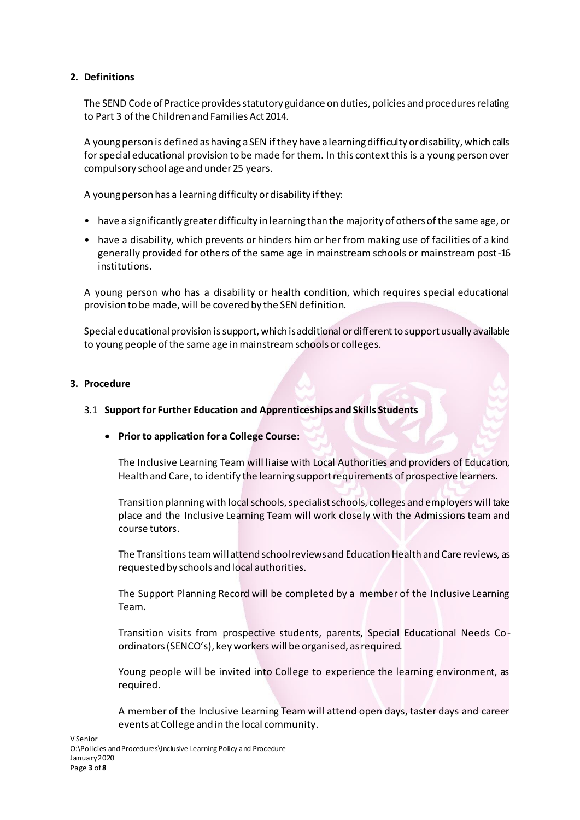# **2. Definitions**

The SEND Code of Practice provides statutory guidance on duties, policies and procedures relating to Part 3 of the Children and Families Act 2014.

A young person is defined as having a SEN if they have a learning difficulty or disability, which calls for special educational provision to be made for them. In this context this is a young person over compulsory school age and under 25 years.

A young person has a learning difficulty or disability if they:

- have a significantly greater difficulty in learning than the majority of others of the same age, or
- have a disability, which prevents or hinders him or her from making use of facilities of a kind generally provided for others of the same age in mainstream schools or mainstream post-16 institutions.

A young person who has a disability or health condition, which requires special educational provision to be made, will be covered by the SEN definition.

Special educational provision is support, which is additional or different to support usually available to young people of the same age in mainstream schools or colleges.

# **3. Procedure**

#### 3.1 **Support for Further Education and Apprenticeships and Skills Students**

#### • **Prior to application for a College Course:**

The Inclusive Learning Team will liaise with Local Authorities and providers of Education, Health and Care, to identify the learning support requirements of prospective learners.

Transition planning with local schools, specialist schools, colleges and employers will take place and the Inclusive Learning Team will work closely with the Admissions team and course tutors.

The Transitions teamwill attend school reviews and Education Health and Care reviews, as requested by schools and local authorities.

The Support Planning Record will be completed by a member of the Inclusive Learning Team.

Transition visits from prospective students, parents, Special Educational Needs Coordinators (SENCO's), key workers will be organised, as required.

Young people will be invited into College to experience the learning environment, as required.

A member of the Inclusive Learning Team will attend open days, taster days and career events at College and in the local community.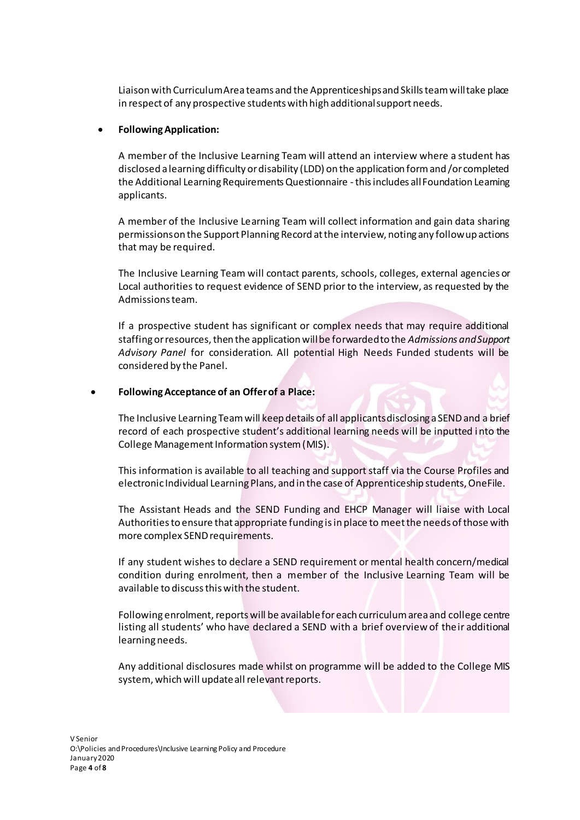Liaison with Curriculum Area teams and the Apprenticeships and Skills team will take place in respect of any prospective students with high additional support needs.

### • **Following Application:**

A member of the Inclusive Learning Team will attend an interview where a student has disclosed a learning difficulty or disability (LDD) on the application form and /or completed the Additional Learning Requirements Questionnaire -this includes all Foundation Learning applicants.

A member of the Inclusive Learning Team will collect information and gain data sharing permissions on the Support Planning Record at the interview, noting any follow up actions that may be required.

The Inclusive Learning Team will contact parents, schools, colleges, external agencies or Local authorities to request evidence of SEND prior to the interview, as requested by the Admissions team.

If a prospective student has significant or complex needs that may require additional staffing or resources, then the application will be forwarded to the *Admissions and Support Advisory Panel* for consideration. All potential High Needs Funded students will be considered by the Panel.

# • **Following Acceptance of an Offer of a Place:**

The Inclusive Learning Team will keep details of all applicantsdisclosing a SENDand a brief record of each prospective student's additional learning needs will be inputted i nto the College Management Information system (MIS).

This information is available to all teaching and support staff via the Course Profiles and electronic Individual Learning Plans, and in the case of Apprenticeship students, OneFile.

The Assistant Heads and the SEND Funding and EHCP Manager will liaise with Local Authorities to ensure that appropriate funding is in place to meet the needs of those with more complex SEND requirements.

If any student wishes to declare a SEND requirement or mental health concern/medical condition during enrolment, then a member of the Inclusive Learning Team will be available to discuss this with the student.

Following enrolment, reports will be available for each curriculum area and college centre listing all students' who have declared a SEND with a brief overview of their additional learning needs.

Any additional disclosures made whilst on programme will be added to the College MIS system, which will update all relevant reports.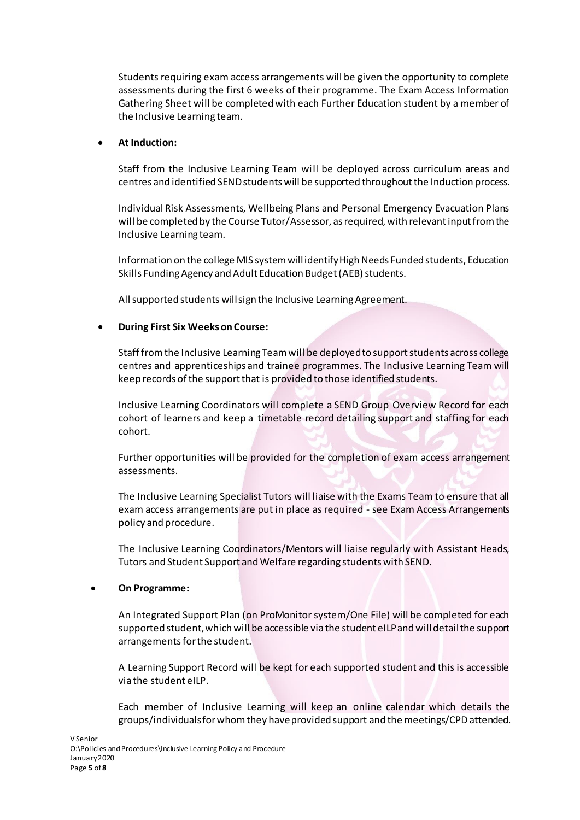Students requiring exam access arrangements will be given the opportunity to complete assessments during the first 6 weeks of their programme. The Exam Access Information Gathering Sheet will be completed with each Further Education student by a member of the Inclusive Learning team.

# • **At Induction:**

Staff from the Inclusive Learning Team will be deployed across curriculum areas and centres and identified SEND students will be supported throughout the Induction process.

Individual Risk Assessments, Wellbeing Plans and Personal Emergency Evacuation Plans will be completed by the Course Tutor/Assessor, as required, with relevant input from the Inclusive Learning team.

Information on the college MIS system will identify High Needs Funded students, Education Skills Funding Agency and Adult Education Budget (AEB) students.

All supported students will sign the Inclusive Learning Agreement.

# • **During First Six Weeks on Course:**

Staff from the Inclusive Learning Team will be deployed to support students across college centres and apprenticeships and trainee programmes. The Inclusive Learning Team will keep records of the support that is provided to those identified students.

Inclusive Learning Coordinators will complete a SEND Group Overview Record for each cohort of learners and keep a timetable record detailing support and staffing for each cohort.

Further opportunities will be provided for the completion of exam access arrangement assessments.

The Inclusive Learning Specialist Tutors will liaise with the Exams Team to ensure that all exam access arrangements are put in place as required - see Exam Access Arrangements policy and procedure.

The Inclusive Learning Coordinators/Mentors will liaise regularly with Assistant Heads, Tutors and Student Support and Welfare regarding students with SEND.

# • **On Programme:**

An Integrated Support Plan (on ProMonitor system/One File) will be completed for each supported student, which will be accessible via the student eILP and will detail the support arrangements for the student.

A Learning Support Record will be kept for each supported student and this is accessible via the student eILP.

Each member of Inclusive Learning will keep an online calendar which details the groups/individuals for whom they have provided support and the meetings/CPDattended.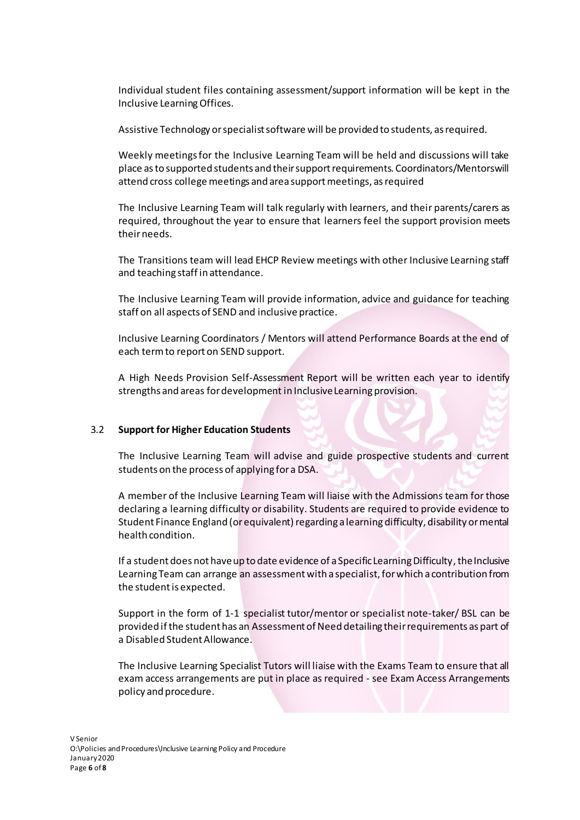Individual student files containing assessment/support information will be kept in the Inclusive Learning Offices.

Assistive Technology or specialist software will be provided to students, asrequired.

Weekly meetings for the Inclusive Learning Team will be held and discussions will take place as to supported students and their support requirements. Coordinators/Mentors will attend cross college meetings and area support meetings, as required

The Inclusive Learning Team will talk regularly with learners, and their parents/carers as required, throughout the year to ensure that learners feel the support provision meets their needs.

The Transitions team will lead EHCP Review meetings with other Inclusive Learning staff and teaching staff in attendance.

The Inclusive Learning Team will provide information, advice and guidance for teaching staff on all aspects of SEND and inclusive practice.

Inclusive Learning Coordinators / Mentors will attend Performance Boards at the end of each term to report on SEND support.

A High Needs Provision Self-Assessment Report will be written each year to identify strengths and areas for development in Inclusive Learning provision.

#### 3.2 **Support for Higher Education Students**

The Inclusive Learning Team will advise and guide prospective students and current students on the process of applying for a DSA.

A member of the Inclusive Learning Team will liaise with the Admissions team for those declaring a learning difficulty or disability. Students are required to provide evidence to Student Finance England (or equivalent) regarding a learning difficulty, disability or mental health condition.

If a student does not have up to date evidence of a Specific Learning Difficulty, the Inclusive Learning Team can arrange an assessment with a specialist, for which a contribution from the student is expected.

Support in the form of 1-1 specialist tutor/mentor or specialist note-taker/ BSL can be provided if the student has an Assessment of Need detailing their requirements as part of a Disabled Student Allowance.

The Inclusive Learning Specialist Tutors will liaise with the Exams Team to ensure that all exam access arrangements are put in place as required - see Exam Access Arrangements policy and procedure.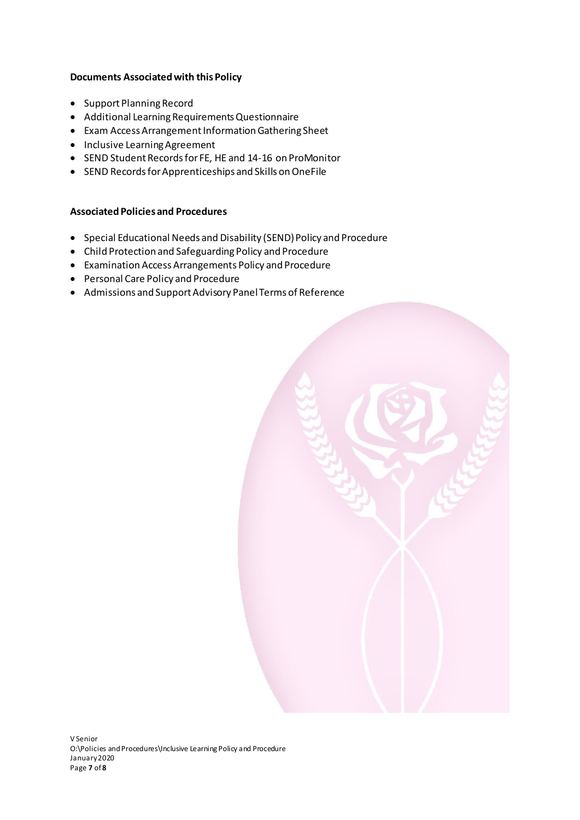# **Documents Associated with this Policy**

- Support Planning Record
- Additional Learning Requirements Questionnaire
- Exam Access Arrangement Information Gathering Sheet
- Inclusive Learning Agreement
- SEND Student Records for FE, HE and 14-16 on ProMonitor
- SEND Records for Apprenticeships and Skills on OneFile

# **Associated Policies and Procedures**

- Special Educational Needs and Disability (SEND) Policy and Procedure
- Child Protection and Safeguarding Policy and Procedure
- Examination Access Arrangements Policy and Procedure
- Personal Care Policy and Procedure
- Admissions and Support Advisory Panel Terms of Reference